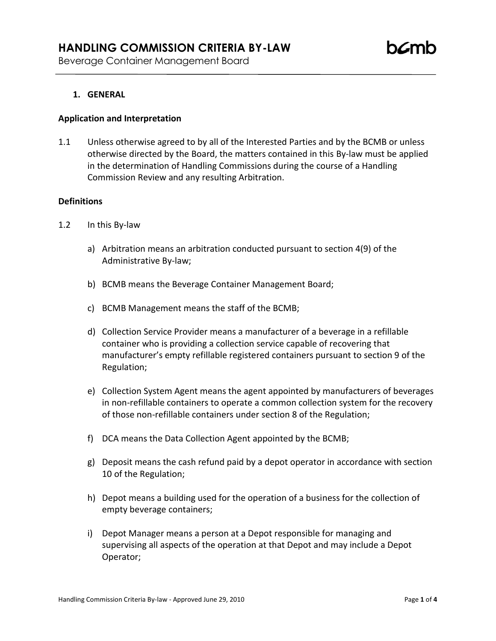# **1. GENERAL**

#### **Application and Interpretation**

1.1 Unless otherwise agreed to by all of the Interested Parties and by the BCMB or unless otherwise directed by the Board, the matters contained in this By-law must be applied in the determination of Handling Commissions during the course of a Handling Commission Review and any resulting Arbitration.

#### **Definitions**

- 1.2 In this By-law
	- a) Arbitration means an arbitration conducted pursuant to section 4(9) of the Administrative By-law;
	- b) BCMB means the Beverage Container Management Board;
	- c) BCMB Management means the staff of the BCMB;
	- d) Collection Service Provider means a manufacturer of a beverage in a refillable container who is providing a collection service capable of recovering that manufacturer's empty refillable registered containers pursuant to section 9 of the Regulation;
	- e) Collection System Agent means the agent appointed by manufacturers of beverages in non-refillable containers to operate a common collection system for the recovery of those non-refillable containers under section 8 of the Regulation;
	- f) DCA means the Data Collection Agent appointed by the BCMB;
	- g) Deposit means the cash refund paid by a depot operator in accordance with section 10 of the Regulation;
	- h) Depot means a building used for the operation of a business for the collection of empty beverage containers;
	- i) Depot Manager means a person at a Depot responsible for managing and supervising all aspects of the operation at that Depot and may include a Depot Operator;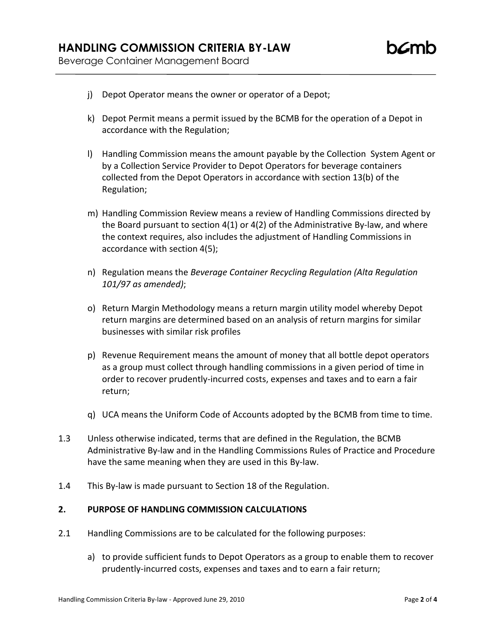- j) Depot Operator means the owner or operator of a Depot;
- k) Depot Permit means a permit issued by the BCMB for the operation of a Depot in accordance with the Regulation;
- l) Handling Commission means the amount payable by the Collection System Agent or by a Collection Service Provider to Depot Operators for beverage containers collected from the Depot Operators in accordance with section 13(b) of the Regulation;
- m) Handling Commission Review means a review of Handling Commissions directed by the Board pursuant to section 4(1) or 4(2) of the Administrative By-law, and where the context requires, also includes the adjustment of Handling Commissions in accordance with section 4(5);
- n) Regulation means the *Beverage Container Recycling Regulation (Alta Regulation 101/97 as amended)*;
- o) Return Margin Methodology means a return margin utility model whereby Depot return margins are determined based on an analysis of return margins for similar businesses with similar risk profiles
- p) Revenue Requirement means the amount of money that all bottle depot operators as a group must collect through handling commissions in a given period of time in order to recover prudently-incurred costs, expenses and taxes and to earn a fair return;
- q) UCA means the Uniform Code of Accounts adopted by the BCMB from time to time.
- 1.3 Unless otherwise indicated, terms that are defined in the Regulation, the BCMB Administrative By-law and in the Handling Commissions Rules of Practice and Procedure have the same meaning when they are used in this By-law.
- 1.4 This By-law is made pursuant to Section 18 of the Regulation.

### **2. PURPOSE OF HANDLING COMMISSION CALCULATIONS**

- 2.1 Handling Commissions are to be calculated for the following purposes:
	- a) to provide sufficient funds to Depot Operators as a group to enable them to recover prudently-incurred costs, expenses and taxes and to earn a fair return;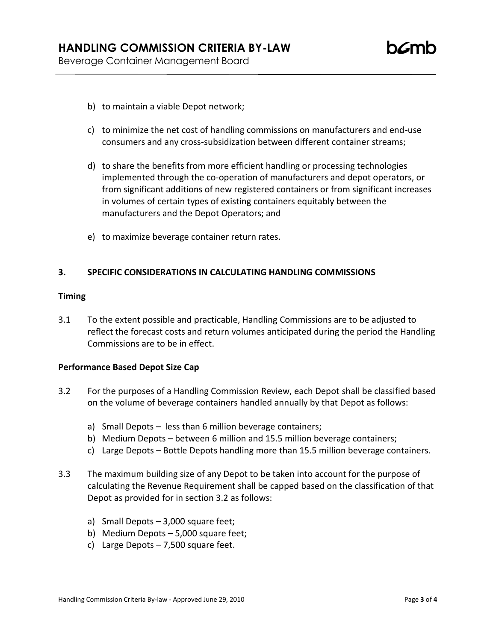- b) to maintain a viable Depot network;
- c) to minimize the net cost of handling commissions on manufacturers and end-use consumers and any cross-subsidization between different container streams;
- d) to share the benefits from more efficient handling or processing technologies implemented through the co-operation of manufacturers and depot operators, or from significant additions of new registered containers or from significant increases in volumes of certain types of existing containers equitably between the manufacturers and the Depot Operators; and
- e) to maximize beverage container return rates.

### **3. SPECIFIC CONSIDERATIONS IN CALCULATING HANDLING COMMISSIONS**

### **Timing**

3.1 To the extent possible and practicable, Handling Commissions are to be adjusted to reflect the forecast costs and return volumes anticipated during the period the Handling Commissions are to be in effect.

# **Performance Based Depot Size Cap**

- 3.2 For the purposes of a Handling Commission Review, each Depot shall be classified based on the volume of beverage containers handled annually by that Depot as follows:
	- a) Small Depots less than 6 million beverage containers;
	- b) Medium Depots between 6 million and 15.5 million beverage containers;
	- c) Large Depots Bottle Depots handling more than 15.5 million beverage containers.
- 3.3 The maximum building size of any Depot to be taken into account for the purpose of calculating the Revenue Requirement shall be capped based on the classification of that Depot as provided for in section 3.2 as follows:
	- a) Small Depots 3,000 square feet;
	- b) Medium Depots 5,000 square feet;
	- c) Large Depots 7,500 square feet.